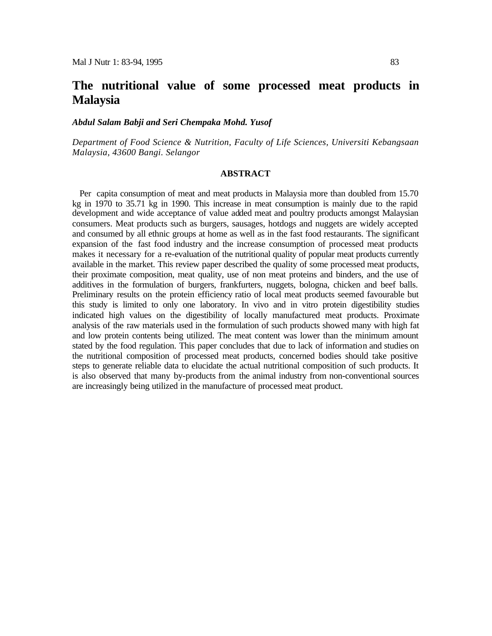# **The nutritional value of some processed meat products in Malaysia**

## *Abdul Salam Babji and Seri Chempaka Mohd. Yusof*

*Department of Food Science & Nutrition, Faculty of Life Sciences, Universiti Kebangsaan Malaysia, 43600 Bangi. Selangor*

## **ABSTRACT**

Per capita consumption of meat and meat products in Malaysia more than doubled from 15.70 kg in 1970 to 35.71 kg in 1990. This increase in meat consumption is mainly due to the rapid development and wide acceptance of value added meat and poultry products amongst Malaysian consumers. Meat products such as burgers, sausages, hotdogs and nuggets are widely accepted and consumed by all ethnic groups at home as well as in the fast food restaurants. The significant expansion of the fast food industry and the increase consumption of processed meat products makes it necessary for a re-evaluation of the nutritional quality of popular meat products currently available in the market. This review paper described the quality of some processed meat products, their proximate composition, meat quality, use of non meat proteins and binders, and the use of additives in the formulation of burgers, frankfurters, nuggets, bologna, chicken and beef balls. Preliminary results on the protein efficiency ratio of local meat products seemed favourable but this study is limited to only one laboratory. In vivo and in vitro protein digestibility studies indicated high values on the digestibility of locally manufactured meat products. Proximate analysis of the raw materials used in the formulation of such products showed many with high fat and low protein contents being utilized. The meat content was lower than the minimum amount stated by the food regulation. This paper concludes that due to lack of information and studies on the nutritional composition of processed meat products, concerned bodies should take positive steps to generate reliable data to elucidate the actual nutritional composition of such products. It is also observed that many by-products from the animal industry from non-conventional sources are increasingly being utilized in the manufacture of processed meat product.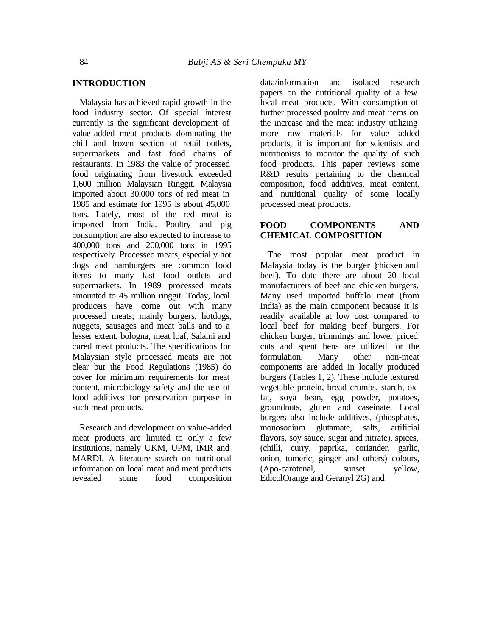#### **INTRODUCTION**

Malaysia has achieved rapid growth in the food industry sector. Of special interest currently is the significant development of value-added meat products dominating the chill and frozen section of retail outlets, supermarkets and fast food chains of restaurants. In 1983 the value of processed food originating from livestock exceeded 1,600 million Malaysian Ringgit. Malaysia imported about 30,000 tons of red meat in 1985 and estimate for 1995 is about 45,000 tons. Lately, most of the red meat is imported from India. Poultry and pig consumption are also expected to increase to 400,000 tons and 200,000 tons in 1995 respectively. Processed meats, especially hot dogs and hamburgers are common food items to many fast food outlets and supermarkets. In 1989 processed meats amounted to 45 million ringgit. Today, local producers have come out with many processed meats; mainly burgers, hotdogs, nuggets, sausages and meat balls and to a lesser extent, bologna, meat loaf, Salami and cured meat products. The specifications for Malaysian style processed meats are not clear but the Food Regulations (1985) do cover for minimum requirements for meat content, microbiology safety and the use of food additives for preservation purpose in such meat products.

Research and development on value-added meat products are limited to only a few institutions, namely UKM, UPM, IMR and MARDI. A literature search on nutritional information on local meat and meat products<br>revealed some food composition some food composition

data/information and isolated research papers on the nutritional quality of a few local meat products. With consumption of further processed poultry and meat items on the increase and the meat industry utilizing more raw materials for value added products, it is important for scientists and nutritionists to monitor the quality of such food products. This paper reviews some R&D results pertaining to the chemical composition, food additives, meat content, and nutritional quality of some locally processed meat products.

## **FOOD COMPONENTS AND CHEMICAL COMPOSITION**

The most popular meat product in Malaysia today is the burger (chicken and beef). To date there are about 20 local manufacturers of beef and chicken burgers. Many used imported buffalo meat (from India) as the main component because it is readily available at low cost compared to local beef for making beef burgers. For chicken burger, trimmings and lower priced cuts and spent hens are utilized for the formulation. Many other non-meat components are added in locally produced burgers (Tables 1, 2). These include textured vegetable protein, bread crumbs, starch, oxfat, soya bean, egg powder, potatoes, groundnuts, gluten and caseinate. Local burgers also include additives, (phosphates, monosodium glutamate, salts, artificial flavors, soy sauce, sugar and nitrate), spices, (chilli, curry, paprika, coriander, garlic, onion, tumeric, ginger and others) colours, (Apo-carotenal, sunset yellow, EdicolOrange and Geranyl 2G) and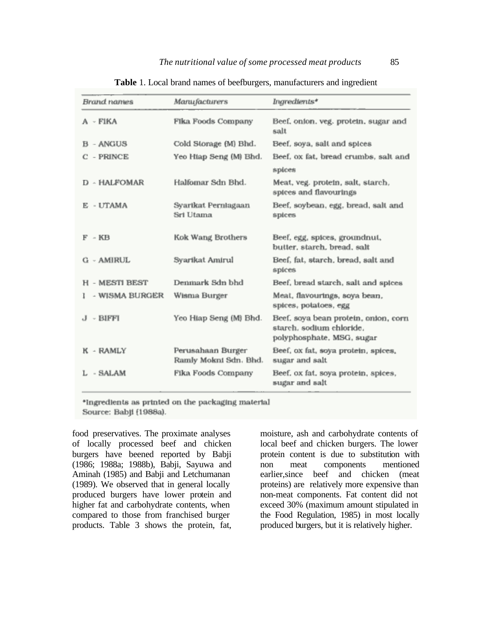| Brand names           | Manufacturers                              | Ingredients*                                                                                  |
|-----------------------|--------------------------------------------|-----------------------------------------------------------------------------------------------|
| A - FIKA              | Fika Foods Company                         | Beef, onion, veg. protein, sugar and<br>salt                                                  |
| <b>B</b> - ANGUS      | Cold Storage (M) Bhd.                      | Beef, soya, salt and spices                                                                   |
| $C - PRINCE$          | Yeo Hiap Seng (M) Bhd.                     | Beef, ox fat, bread crumbs, salt and<br>spices                                                |
| D - HALFOMAR          | Halfomar Sdn Bhd.                          | Meat, veg. protein, salt, starch,<br>spices and flavourings                                   |
| E - UTAMA             | Syarikat Perniagaan<br>Sri Utama           | Beef, soybean, egg, bread, salt and<br>spices                                                 |
| $F - KB$              | Kok Wang Brothers                          | Beef, egg, spices, groundnut,<br>butter, starch, bread, salt                                  |
| G - AMIRUL            | Syarikat Amirul                            | Beef, fat, starch, bread, salt and<br>spices                                                  |
| <b>H - MESTI BEST</b> | Denmark Sdn bhd                            | Beef, bread starch, salt and spices                                                           |
| - WISMA BURGER        | Wisma Burger                               | Meat, flavourings, soya bean,<br>spices, potatoes, egg                                        |
| J - BIFFI             | Yeo Hiap Seng (M) Bhd.                     | Beef, soya bean protein, onion, corn<br>starch, sodium chloride,<br>polyphosphate, MSG, sugar |
| K - RAMLY             | Perusahaan Burger<br>Ramly Mokni Sdn. Bhd. | Beef, ox fat, soya protein, spices,<br>sugar and salt                                         |
| L - SALAM             | Fika Foods Company                         | Beef, ox fat, soya protein, spices,<br>sugar and salt                                         |

| Table 1. Local brand names of beefburgers, manufacturers and ingredient |
|-------------------------------------------------------------------------|
|-------------------------------------------------------------------------|

\*Ingredients as printed on the packaging material Source: Babji (1988a).

food preservatives. The proximate analyses of locally processed beef and chicken burgers have beened reported by Babji (1986; 1988a; 1988b), Babji, Sayuwa and Aminah (1985) and Babji and Letchumanan (1989). We observed that in general locally produced burgers have lower protein and higher fat and carbohydrate contents, when compared to those from franchised burger products. Table 3 shows the protein, fat,

moisture, ash and carbohydrate contents of local beef and chicken burgers. The lower protein content is due to substitution with non meat components mentioned earlier,since beef and chicken (meat proteins) are relatively more expensive than non-meat components. Fat content did not exceed 30% (maximum amount stipulated in the Food Regulation, 1985) in most locally produced burgers, but it is relatively higher.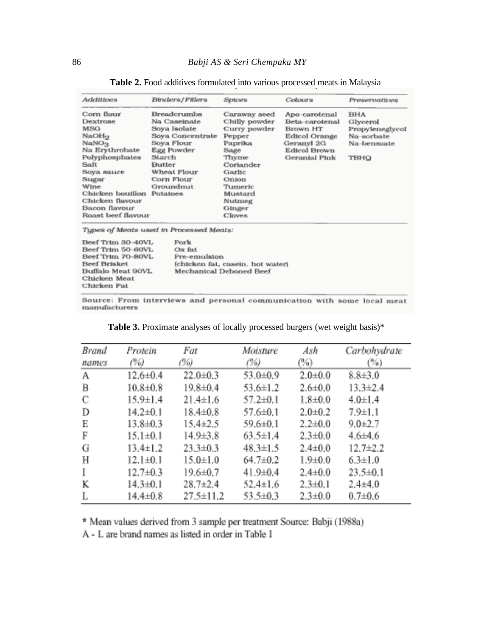| <b>Additions</b>                  | Binders / Fillers                       | Spices                           | Colours             | Preservatives   |
|-----------------------------------|-----------------------------------------|----------------------------------|---------------------|-----------------|
| Corn flour                        | Breadcrumbs                             | Caraway seed                     | Apo-carotenal       | <b>BHA</b>      |
| Dextrose                          | Na Caseinate                            | Chilly powder                    | Beta-carotenal      | Glycerol        |
| <b>MSG</b>                        | Soya Isolate                            | Curry powder                     | Brown HT            | Propyleneglycol |
| NaOH <sub>2</sub>                 | Soya Concentrate                        | Pepper                           | Edicol Orange       | Na-sorbate      |
| NaNO <sub>3</sub>                 | Soya Flour                              | Paprika                          | Geranyl 2G          | Na-benzoate     |
| Na Erythrobate                    | Egg Powder                              | Sage                             | <b>Edicol Brown</b> |                 |
| Polyphosphates                    | Starch                                  | Thyme                            | Geranial Pink       | твно            |
| Salt                              | Butter                                  | Coriander                        |                     |                 |
| Воуа ванее                        | Wheat Flour                             | Garlic                           |                     |                 |
| Sugar                             | Corn Flour                              | Onion                            |                     |                 |
| Wine                              | Groundnut                               | Tumeric                          |                     |                 |
| Chicken bouillon                  | Potatoes                                | Mustard                          |                     |                 |
| Chicken flavour                   |                                         | Nutmeg                           |                     |                 |
| Bacon flavour                     |                                         | Ginger                           |                     |                 |
| Roast beef flavour                |                                         | Cloves                           |                     |                 |
|                                   | Types of Meats used in Processed Meats: |                                  |                     |                 |
| Beef Trim 30-40VL                 | Pork                                    |                                  |                     |                 |
| Beef Trim 50-60VL                 | $Ox$ fat                                |                                  |                     |                 |
| Beef Trim 70-80VL<br>Pre-emulsion |                                         |                                  |                     |                 |
| Beef Brisket                      |                                         | (chicken fat, casein, hot water) |                     |                 |
| Buffalo Meat 90VL                 |                                         | Mechanical Deboned Beef          |                     |                 |
| Chicken Meat                      |                                         |                                  |                     |                 |
| Chicken Fat                       |                                         |                                  |                     |                 |

Table 2. Food additives formulated into various processed meats in Malaysia

Source: From interviews and personal communication with some local meat manufacturers

| <b>Brand</b>   | Protein        | Fat             | Moisture       | Ash           | Carbohydrate   |
|----------------|----------------|-----------------|----------------|---------------|----------------|
| names          | (%)            | (%)             | (%)            | $($ %)        | $( \% )$       |
| A              | 12.6±0.4       | $22.0 + 0.3$    | 53.0±0.9       | $2.0 + 0.0$   | $8,8\pm3,0$    |
| $\overline{B}$ | $10.8 + 0.8$   | 19.8±0.4        | $53.6 \pm 1.2$ | $2.6 + 0.0$   | $13.3 + 2.4$   |
| $\mathbb C$    | $15.9 \pm 1.4$ | $21.4 \pm 1.6$  | $57.2 \pm 0.1$ | $1.8 + 0.0$   | $4.0 \pm 1.4$  |
| D              | $14.2 + 0.1$   | $18.4 \pm 0.8$  | 57.6±0.1       | $2.0 + 0.2$   | 7.9±1.1        |
| Ε              | 13.8±0.3       | $15.4 \pm 2.5$  | $59.6 \pm 0.1$ | $2.2 \pm 0.0$ | $9.0 + 2.7$    |
| F              | $15.1 \pm 0.1$ | 14.9±3.8        | $63.5 \pm 1.4$ | $2.3 + 0.0$   | $4.6{\pm}4.6$  |
| G              | $13.4 \pm 1.2$ | $23.3 + 0.3$    | $48.3 \pm 1.5$ | $2.4 \pm 0.0$ | $12.7 + 2.2$   |
| Η              | $12.1 \pm 0.1$ | $15.0 \pm 1.0$  | $64.7 + 0.2$   | $1.9 + 0.0$   | $6.3 \pm 1.0$  |
| I              | $12.7 + 0.3$   | 19.6±0.7        | $41.9 + 0.4$   | $2.4 + 0.0$   | $23.5 \pm 0.1$ |
| К              | $14.3 \pm 0.1$ | $28.7 \pm 2.4$  | $52.4 \pm 1.6$ | $2.3 \pm 0.1$ | $2.4 + 4.0$    |
|                | $14.4 \pm 0.8$ | $27.5 \pm 11.2$ | 53.5±0.3       | $2.3 + 0.0$   | $0.7 + 0.6$    |

Table 3. Proximate analyses of locally processed burgers (wet weight basis)\*

\* Mean values derived from 3 sample per treatment Source: Babji (1988a)

A - L are brand names as listed in order in Table 1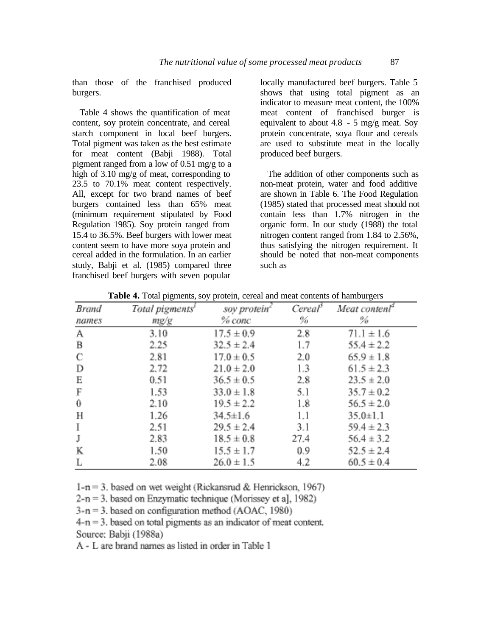than those of the franchised produced burgers.

Table 4 shows the quantification of meat content, soy protein concentrate, and cereal starch component in local beef burgers. Total pigment was taken as the best estimate for meat content (Babji 1988). Total pigment ranged from a low of 0.51 mg/g to a high of 3.10 mg/g of meat, corresponding to 23.5 to 70.1% meat content respectively. All, except for two brand names of beef burgers contained less than 65% meat (minimum requirement stipulated by Food Regulation 1985). Soy protein ranged from 15.4 to 36.5%. Beef burgers with lower meat content seem to have more soya protein and cereal added in the formulation. In an earlier study, Babji et al. (1985) compared three franchised beef burgers with seven popular

locally manufactured beef burgers. Table 5 shows that using total pigment as an indicator to measure meat content, the 100% meat content of franchised burger is equivalent to about 4.8 - 5 mg/g meat. Soy protein concentrate, soya flour and cereals are used to substitute meat in the locally produced beef burgers.

The addition of other components such as non-meat protein, water and food additive are shown in Table 6. The Food Regulation (1985) stated that processed meat should not contain less than 1.7% nitrogen in the organic form. In our study (1988) the total nitrogen content ranged from 1.84 to 2.56%, thus satisfying the nitrogen requirement. It should be noted that non-meat components such as

| Brand    | Total pigments' | soy protein <sup>c</sup> | Cereal | Meat content <sup>*</sup> |
|----------|-----------------|--------------------------|--------|---------------------------|
| names    | mg/g            | % conc                   | ℅      | %                         |
| А        | 3.10            | $17.5 \pm 0.9$           | 2.8    | $71.1 \pm 1.6$            |
| B        | 2.25            | $32.5 \pm 2.4$           | 1.7    | $55.4 \pm 2.2$            |
| С        | 2.81            | $17.0 \pm 0.5$           | 2.0    | $65.9 \pm 1.8$            |
| D        | 2.72            | $21.0 \pm 2.0$           | 1.3    | $61.5 \pm 2.3$            |
| Е        | 0.51            | $36.5 \pm 0.5$           | 2.8    | $23.5 \pm 2.0$            |
| F        | 1.53            | $33.0 \pm 1.8$           | 5.1    | $35.7 \pm 0.2$            |
| $\bf{0}$ | 2.10            | $19.5 \pm 2.2$           | 1.8    | $56.5 \pm 2.0$            |
| Н        | 1.26            | $34.5 \pm 1.6$           | 1.1    | $35.0 \pm 1.1$            |
| Ι.       | 2.51            | $29.5 \pm 2.4$           | 3.1    | $59.4 \pm 2.3$            |
| J        | 2.83            | $18.5 \pm 0.8$           | 27.4   | $56.4 \pm 3.2$            |
| K        | 1.50            | $15.5 \pm 1.7$           | 0.9    | $52.5 \pm 2.4$            |
| L        | 2.08            | $26.0 \pm 1.5$           | 4.2    | $60.5 \pm 0.4$            |

Table 4. Total pigments, soy protein, cereal and meat contents of hamburgers

 $1-n = 3$ , based on wet weight (Rickansrud & Henrickson, 1967)

 $2-n = 3$ . based on Enzymatic technique (Morissey et a], 1982)

 $3-n = 3$ , based on configuration method (AOAC, 1980)

 $4-n = 3$ , based on total pigments as an indicator of meat content.

Source: Babii (1988a)

A - L are brand names as listed in order in Table 1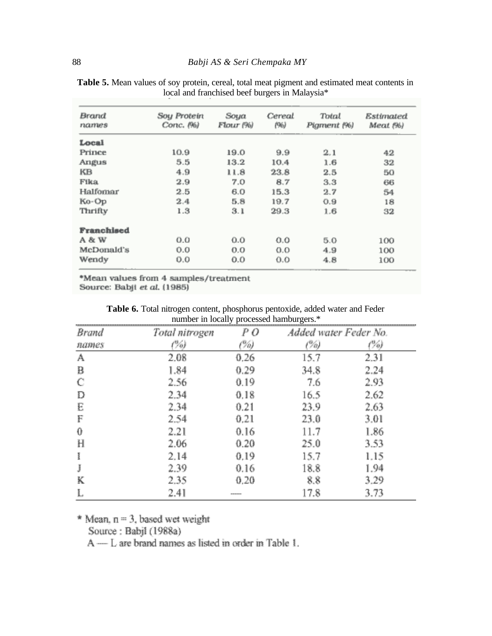| Brand<br>names | Soy Protein<br>Conc. (%) | Soya<br>Flour (%) | Cereal<br>(96) | Total<br>Pigment (%) | Estimated<br>Meat (%) |
|----------------|--------------------------|-------------------|----------------|----------------------|-----------------------|
| Local          |                          |                   |                |                      |                       |
| Prince         | 10.9                     | 19.0              | 9.9            | 2.1                  | 42                    |
| Angus          | 5.5                      | 13.2              | 10.4           | 1.6                  | 32                    |
| KВ             | 4.9                      | 11.8              | 23.8           | 2.5                  | 50                    |
| Fika           | 2.9                      | 7.0               | 8.7            | 3.3                  | 66                    |
| Halfomar       | 2.5                      | 6.0               | 15.3           | 2.7                  | 54                    |
| Ko-Op          | 2.4                      | 5.8               | 19.7           | 0.9                  | 18                    |
| Thrifty        | 1.3                      | 3.1               | 29.3           | 1.6                  | 32                    |
| Franchised     |                          |                   |                |                      |                       |
| A & W          | 0.0                      | 0.0               | 0.0            | 5.0                  | 100                   |
| McDonald's     | 0.0                      | 0.0               | 0.0            | 4.9                  | 100                   |
| Wendy          | 0.0                      | 0.0               | 0.0            | 4.8                  | 100                   |

**Table 5.** Mean values of soy protein, cereal, total meat pigment and estimated meat contents in local and franchised beef burgers in Malaysia\*

\*Mean values from 4 samples/treatment Source: Babji et al. (1985)

|              |                | imper in locally processed namburgers. |                       |      |
|--------------|----------------|----------------------------------------|-----------------------|------|
| <b>Brand</b> | Total nitrogen | PΟ                                     | Added water Feder No. |      |
| <b>RAMES</b> |                | Ŵ.                                     | 96)                   |      |
| Α            | 2.08           | 0.26                                   | 15.7                  | 2.31 |
| B            | l 84           | -29                                    | 34.8                  | 2.24 |
| C            | 2.56           | 0.19                                   | 7.6                   | 2.93 |
| Ð            |                | 0.18                                   | 16.5                  | 2.62 |
| E            |                | $0.21\,$                               | 23.9                  | 2.63 |
| F            |                | 0.21                                   | 23 O                  | 3.01 |
| 0            | 2.21           | 0.16                                   | l 1.7                 | 1.86 |
|              | 2.06           | 0.20                                   | 25.0                  | 3.53 |
| Į            | 2.14           | 0.19                                   | 15.7                  | 1.15 |
| Ĵ            |                | 0.16                                   | 18.8                  |      |
| Κ            |                | 0.20                                   | 8                     | 79   |
| ī.           |                | 100101-012                             | 8                     |      |

**Table 6.** Total nitrogen content, phosphorus pentoxide, added water and Feder number in locally processed hamburgers.\*

\* Mean,  $n = 3$ , based wet weight

Source: Babji (1988a)

A - L are brand names as listed in order in Table 1.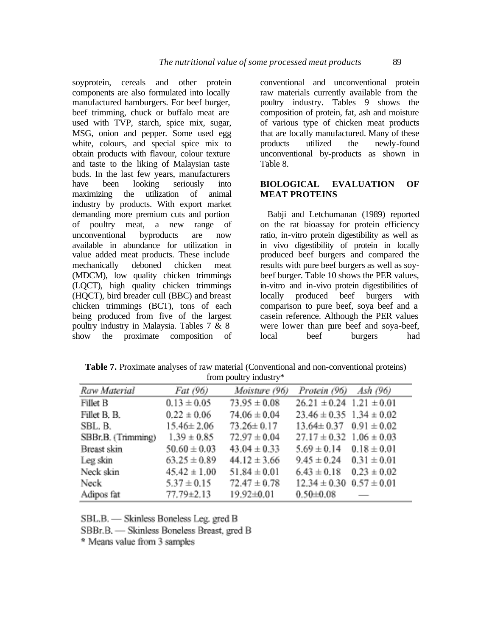soyprotein, cereals and other protein components are also formulated into locally manufactured hamburgers. For beef burger, beef trimming, chuck or buffalo meat are used with TVP, starch, spice mix, sugar, MSG, onion and pepper. Some used egg white, colours, and special spice mix to obtain products with flavour, colour texture and taste to the liking of Malaysian taste buds. In the last few years, manufacturers have been looking seriously into maximizing the utilization of animal industry by products. With export market demanding more premium cuts and portion of poultry meat, a new range of unconventional byproducts are now available in abundance for utilization in value added meat products. These include mechanically deboned chicken meat (MDCM), low quality chicken trimmings (LQCT), high quality chicken trimmings (HQCT), bird breader cull (BBC) and breast chicken trimmings (BCT), tons of each being produced from five of the largest poultry industry in Malaysia. Tables 7 & 8 show the proximate composition of conventional and unconventional protein raw materials currently available from the poultry industry. Tables 9 shows the composition of protein, fat, ash and moisture of various type of chicken meat products that are locally manufactured. Many of these<br>products utilized the newly-found products utilized the newly-found unconventional by-products as shown in Table 8.

## **BIOLOGICAL EVALUATION OF MEAT PROTEINS**

Babji and Letchumanan (1989) reported on the rat bioassay for protein efficiency ratio, in-vitro protein digestibility as well as in vivo digestibility of protein in locally produced beef burgers and compared the results with pure beef burgers as well as soybeef burger. Table 10 shows the PER values, in-vitro and in-vivo protein digestibilities of locally produced beef burgers with comparison to pure beef, soya beef and a casein reference. Although the PER values were lower than pure beef and soya-beef, local beef burgers had

**Table 7.** Proximate analyses of raw material (Conventional and non-conventional proteins) from poultry industry\*

| Raw Material        | Fat (96)         | Moisture (96)    | Protein (96) Ash (96)            |                 |
|---------------------|------------------|------------------|----------------------------------|-----------------|
| Fillet B            | $0.13 \pm 0.05$  | $73.95 \pm 0.08$ | $26.21 \pm 0.24$ 1.21 $\pm 0.01$ |                 |
| Fillet B. B.        | $0.22 \pm 0.06$  | $74.06 \pm 0.04$ | $23.46 \pm 0.35$ 1.34 $\pm$ 0.02 |                 |
| SBL. B.             | $15.46 \pm 2.06$ | $73.26 \pm 0.17$ | $13.64 \pm 0.37$ $0.91 \pm 0.02$ |                 |
| SBBr, B. (Trimming) | $1.39 \pm 0.85$  | $72.97 \pm 0.04$ | $27.17 \pm 0.32$ 1.06 $\pm$ 0.03 |                 |
| Breast skin         | $50.60 \pm 0.03$ | $43.04 \pm 0.33$ | $5.69 \pm 0.14$ $0.18 \pm 0.01$  |                 |
| Leg skin            | $63.25 \pm 0.89$ | $44.12 \pm 3.66$ | $9.45 \pm 0.24$ $0.31 \pm 0.01$  |                 |
| Neck skin           | $45.42 \pm 1.00$ | $51.84 \pm 0.01$ | $6.43 \pm 0.18$                  | $0.23 \pm 0.02$ |
| Neck                | $5.37 \pm 0.15$  | $72.47 \pm 0.78$ | $12.34 \pm 0.30$ $0.57 \pm 0.01$ |                 |
| Adipos fat          | 77.79±2.13       | 19.92±0.01       | $0.50 + 0.08$                    |                 |

SBL.B. - Skinless Boneless Leg. gred B

SBBr.B. - Skinless Boneless Breast, gred B

\* Means value from 3 samples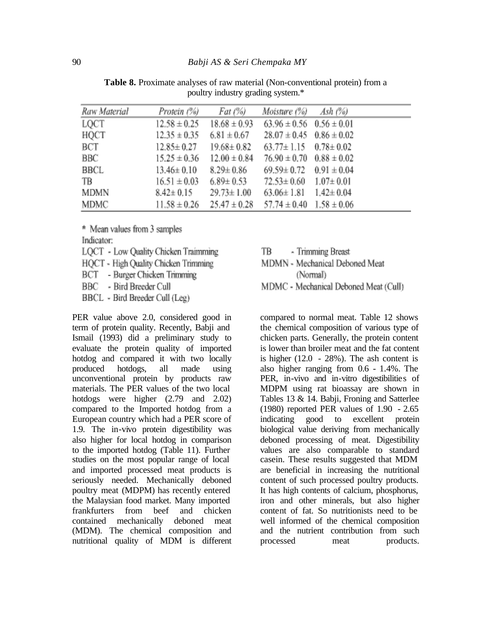| Raw Material | Protein (%)      | Fat (%)          | Moisture $(\%)$ Ash $(\%)$       |  |
|--------------|------------------|------------------|----------------------------------|--|
| LQCT         | $12.58 \pm 0.25$ | $18.68 \pm 0.93$ | $63.96 \pm 0.56$ $0.56 \pm 0.01$ |  |
| HQCT         | $12.35 \pm 0.35$ | $6.81 \pm 0.67$  | $28.07 \pm 0.45$ 0.86 $\pm$ 0.02 |  |
| ВСТ          | $12.85 \pm 0.27$ | $19.68 \pm 0.82$ | $63.77 \pm 1.15$ $0.78 \pm 0.02$ |  |
| BBC          | $15.25 \pm 0.36$ | $12.00 \pm 0.84$ | $76.90 \pm 0.70$ $0.88 \pm 0.02$ |  |
| BBCL         | $13.46 \pm 0.10$ | $8.29 \pm 0.86$  | $69.59 \pm 0.72$ 0.91 $\pm 0.04$ |  |
| TB           | $16.51 \pm 0.03$ | $6.89 \pm 0.53$  | $72.53 \pm 0.60$ $1.07 \pm 0.01$ |  |
| MDMN         | $8.42 \pm 0.15$  | $29.73 \pm 1.00$ | $63.06 \pm 1.81$ $1.42 \pm 0.04$ |  |
| MDMC         | $11.58 \pm 0.26$ | $25.47 \pm 0.28$ | $57.74 \pm 0.40$ $1.58 \pm 0.06$ |  |

**Table 8.** Proximate analyses of raw material (Non-conventional protein) from a poultry industry grading system.\*

\* Mean values from 3 samples Indicator:

- LQCT Low Quality Chicken Traimming
- HOCT High Quality Chicken Trimming
- BCT Burger Chicken Trimming
- BBC - Bird Breeder Cull
- BBCL Bird Breeder Cull (Leg)

PER value above 2.0, considered good in term of protein quality. Recently, Babji and Ismail (1993) did a preliminary study to evaluate the protein quality of imported hotdog and compared it with two locally produced hotdogs, all made using unconventional protein by products raw materials. The PER values of the two local hotdogs were higher  $(2.79 \text{ and } 2.02)$ compared to the Imported hotdog from a European country which had a PER score of 1.9. The in-vivo protein digestibility was also higher for local hotdog in comparison to the imported hotdog (Table 11). Further studies on the most popular range of local and imported processed meat products is seriously needed. Mechanically deboned poultry meat (MDPM) has recently entered the Malaysian food market. Many imported frankfurters from beef and chicken contained mechanically deboned meat (MDM). The chemical composition and nutritional quality of MDM is different

TB - Trimming Breast

MDMN - Mechanical Deboned Meat (Normal)

MDMC - Mechanical Deboned Meat (Cull)

compared to normal meat. Table 12 shows the chemical composition of various type of chicken parts. Generally, the protein content is lower than broiler meat and the fat content is higher  $(12.0 - 28\%)$ . The ash content is also higher ranging from 0.6 - 1.4%. The PER, in-vivo and in-vitro digestibilities of MDPM using rat bioassay are shown in Tables 13 & 14. Babji, Froning and Satterlee (1980) reported PER values of 1.90 - 2.65 indicating good to excellent protein biological value deriving from mechanically deboned processing of meat. Digestibility values are also comparable to standard casein. These results suggested that MDM are beneficial in increasing the nutritional content of such processed poultry products. It has high contents of calcium, phosphorus, iron and other minerals, but also higher content of fat. So nutritionists need to be well informed of the chemical composition and the nutrient contribution from such processed meat products.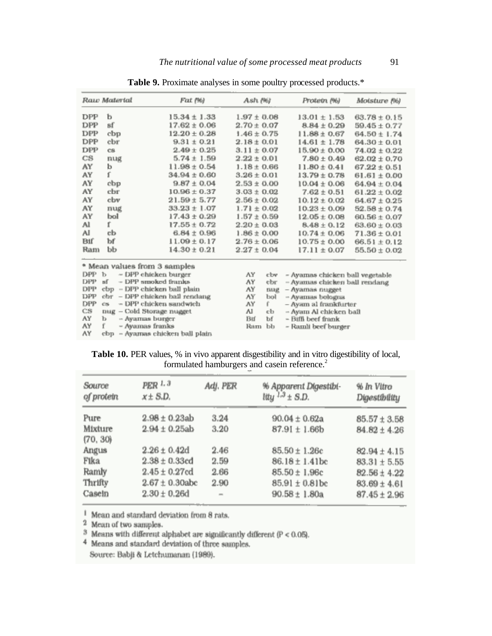|            | Raw Material                                        | Fat (%)                        | Ash (%)               | Protein (%)                                   | Moisture (%)     |
|------------|-----------------------------------------------------|--------------------------------|-----------------------|-----------------------------------------------|------------------|
| DPP        | ь                                                   | $15.34 \pm 1.33$               | $1.97 \pm 0.08$       | $13.01 \pm 1.53$                              | $63.78 \pm 0.15$ |
| DPP        | sf                                                  | $17.62 \pm 0.06$               | $2.70 \pm 0.07$       | $8.84 \pm 0.29$                               | $59.45 \pm 0.77$ |
| DPP        | cbp                                                 | $12.20 \pm 0.28$               | $1.46 \pm 0.75$       | $11.88 \pm 0.67$                              | $64.50 \pm 1.74$ |
| DPP        | cbr                                                 | $9.31 \pm 0.21$                | $2.18 \pm 0.01$       | $14.61 \pm 1.78$                              | $64.30 \pm 0.01$ |
| DPP        | CS.                                                 | $2.49 \pm 0.25$                | $3.11 \pm 0.07$       | $15.90 \pm 0.00$                              | $74.02 \pm 0.22$ |
| CS         | nug                                                 | $5.74 \pm 1.59$                | $2.22 \pm 0.01$       | $7.80 \pm 0.49$                               | $62.02 \pm 0.70$ |
| AY         | b                                                   | $11.98 \pm 0.54$               | $1.18 \pm 0.66$       | $11.80 \pm 0.41$                              | $67.22 \pm 0.51$ |
| AY         | ť                                                   | $34.94 \pm 0.60$               | $3.26 \pm 0.01$       | $13.79 \pm 0.78$                              | $61.61 \pm 0.00$ |
| AY         | cbp                                                 | $9.87 \pm 0.04$                | $2.53 \pm 0.00$       | $10.04 \pm 0.06$                              | $64.94 \pm 0.04$ |
| AY         | cbr                                                 | $10.96 \pm 0.37$               | $3.03 \pm 0.02$       | $7.62 \pm 0.51$                               | $61.22 \pm 0.02$ |
| AY         | cbv                                                 | $21.59 \pm 5.77$               | $2.56 \pm 0.02$       | $10.12 \pm 0.02$                              | $64.67 \pm 0.25$ |
| AY         | nug                                                 | $33.23 \pm 1.07$               | $1.71 \pm 0.02$       | $10.23 \pm 0.09$                              | $52.58 \pm 0.74$ |
| AY         | bol                                                 | $17.43 \pm 0.29$               | $1.57 \pm 0.59$       | $12.05 \pm 0.08$                              | $60.56 \pm 0.07$ |
| Al         | r                                                   | 17.55 ± 0.72                   | $2.20 \pm 0.03$       | $8.48 \pm 0.12$                               | $63.60 \pm 0.03$ |
| Al         | сb                                                  | $6.84 \pm 0.96$                | $1.86 \pm 0.00$       | $10.74 \pm 0.06$                              | $71.36 \pm 0.01$ |
| Biſ        | bf                                                  | $11.09 \pm 0.17$               | $2.76 \pm 0.06$       | $10.75 \pm 0.00$                              | $66.51 \pm 0.12$ |
| Ram        | ЬЬ                                                  | $14.30 \pm 0.21$               | $2.27 \pm 0.04$       | $17.11 \pm 0.07$                              | $55.50 \pm 0.02$ |
|            | * Mean values from 3 samples                        |                                |                       |                                               |                  |
| DPP        | ь                                                   | – DPP chicken burger           | AY<br>cbv             | - Ayamas chicken ball vegetable               |                  |
| <b>DPP</b> | вf                                                  | - DPP smoked franks            | AY<br>ebr             | – Ayamas chicken ball rendang                 |                  |
| <b>DPP</b> | cbp                                                 | - DPP chicken ball plain       | AY<br><b>DUK</b>      | - Ayamas nugget                               |                  |
| DPP        |                                                     | obr - DPP chicken ball rendang | AY<br>bol             | - Avanuas bologna                             |                  |
| DPP<br>ĊS  | OS-                                                 | - DPP chicken sandwich         | лΥ<br>f.              | – Avam al frankfurter                         |                  |
| AY         | nug – Cold Storage nugget<br>$-$ Ayamas burger<br>ь |                                | Al<br>сb<br>Bif<br>Ъf | -- Ayam Al chicken bail<br>- Biffi beef frank |                  |
| AY         | f.<br>- Ayamas franks                               |                                | Ъb<br>Ram             | - Ramli beef burger                           |                  |
| AY         | cbp                                                 | - Ayamas chicken ball plain    |                       |                                               |                  |

**Table 9.** Proximate analyses in some poultry processed products.\*

Table 10. PER values, % in vivo apparent disgestibility and in vitro digestibility of local, formulated hamburgers and casein reference.<sup>2</sup>

| Source<br>of protein | PER 1.3<br>$x \pm S.D.$ | Adj. PER | % Apparent Digestibi-<br>ltty $^{1,3}$ ± S.D. | % In Vitro<br>Digestibility |
|----------------------|-------------------------|----------|-----------------------------------------------|-----------------------------|
| Pure                 | $2.98 \pm 0.23$ ab      | 3.24     | $90.04 \pm 0.62a$                             | $85.57 \pm 3.58$            |
| Mixture<br>(70, 30)  | $2.94 \pm 0.25$ ab      | 3.20     | $87.91 \pm 1.66$ b                            | $84.82 \pm 4.26$            |
| Angus                | $2.26 \pm 0.42d$        | 2.46     | $85.50 \pm 1.26c$                             | $82.94 \pm 4.15$            |
| Fika                 | $2.38 \pm 0.33$ ed      | 2.59     | $86.18 \pm 1.41$ bc                           | $83.31 \pm 5.55$            |
| Ramly                | $2.45 \pm 0.27$ cd      | 2.66     | $85.50 \pm 1.96c$                             | $82.56 \pm 4.22$            |
| Thrifty              | $2.67 \pm 0.30$ abc     | 2.90     | $85.91 \pm 0.81$ bc                           | $83.69 \pm 4.61$            |
| Caseln               | $2.30 \pm 0.26$ d       | $\sim$   | $90.58 \pm 1.80a$                             | $87.45 \pm 2.96$            |

<sup>1</sup> Mean and standard deviation from 8 rats.

<sup>2</sup> Mean of two samples.

 $3$  Means with different alphabet are significantly different ( $P < 0.05$ ).

4 Means and standard deviation of three samples.

Source: Babji & Letchumanan (1989).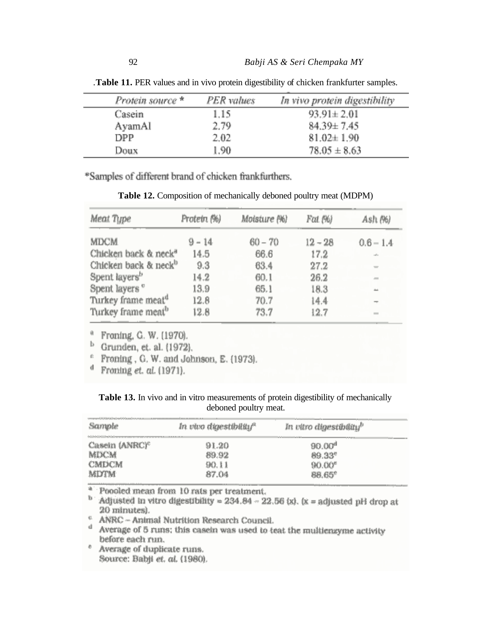| Protein source $*$ | PER values | In vivo protein digestibility |
|--------------------|------------|-------------------------------|
| Casein             | 1.15       | $93.91 \pm 2.01$              |
| AyamAl             | 2.79       | $84.39 \pm 7.45$              |
| DPP.               | 2.02       | $81.02 \pm 1.90$              |
| Doux               | 1.90       | $78.05 \pm 8.63$              |

*.***Table 11.** PER values and in vivo protein digestibility of chicken frankfurter samples.

\*Samples of different brand of chicken frankfurthers.

**Table 12.** Composition of mechanically deboned poultry meat (MDPM)

| Meat Type                        | Protein (%) | Moisture (%) | Fat (%)   | Ash (%)       |
|----------------------------------|-------------|--------------|-----------|---------------|
| MDCM.                            | $9 - 14$    | $60 - 70$    | $12 - 28$ | $0.6 - 1.4$   |
| Chicken back & neck <sup>a</sup> | 14.5        | 66.6         | 17.2      | $\sim 10$     |
| Chicken back & neck <sup>b</sup> | 9.3         | 63.4         | 27.2      |               |
| Spent layers <sup>b</sup>        | 14.2        | 60.1         | 26.2      | $\sim$        |
| Spent layers "                   | 13.9        | 65.1         | 18.3      | $\frac{1}{2}$ |
| Turkey frame meat <sup>a</sup>   | 12.8        | 70.7         | 14.4      |               |
| Turkey frame meat <sup>b</sup>   | 12.8        | 73.7         | 12.7      | $\sim$        |

<sup>a</sup> Franing, G. W. (1970).

 $<sup>b</sup>$  Grunden, et. al. (1972).</sup>

<sup>e</sup> Froning, G. W. and Johnson, E. (1973).

 $<sup>d</sup>$  Froning et. al. (1971).</sup>

|  |  |  |                       |  | Table 13. In vivo and in vitro measurements of protein digestibility of mechanically |  |
|--|--|--|-----------------------|--|--------------------------------------------------------------------------------------|--|
|  |  |  | deboned poultry meat. |  |                                                                                      |  |

| al del del del del del mandatal del mandata del composito<br>11/4x/klaimananananananananananananana<br>--------- | In vivo digestibility <sup>a</sup> | --------------<br><br>In vitro digestibility <sup>b</sup> |                             |
|------------------------------------------------------------------------------------------------------------------|------------------------------------|-----------------------------------------------------------|-----------------------------|
| Casein (ANRC) <sup>c</sup><br><b>MDCM</b><br><b>CMDCM</b><br>MDTM                                                | 91.20<br>89.92<br>90. I 1<br>87.04 | ------<br>90.00°<br>0.337<br>90.00°<br>88.65°             | Weblate and the contract of |

<sup>a</sup> Poooled mean from 10 rats per treatment.

 $b$  Adjusted in vitro digestibility = 234.84 - 22.56 (x). (x = adjusted pH drop at 20 minutes).

 $^{\rm c}$  ANRC -- Animal Nutrition Research Council.

d Average of 5 runs; this caselin was used to teat the multienzyme activity before each run.

<sup>e</sup> Average of duplicate runs. Source: Babji et. al. (1980).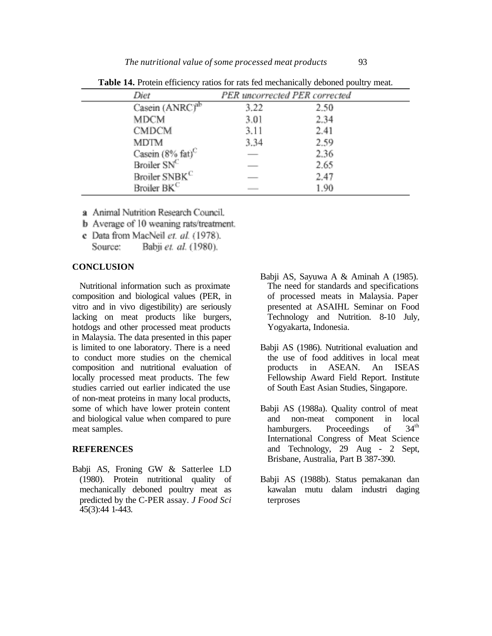| Diet                         |      | PER uncorrected PER corrected |
|------------------------------|------|-------------------------------|
| Casein (ANRC) <sup>ab</sup>  | 3.22 | 2.50                          |
| MDCM                         | 3.01 | 2.34                          |
| <b>CMDCM</b>                 | 3.11 | 2.41                          |
| MDTM                         | 3.34 | 2.59                          |
| Casein $(8\% \text{ fat})^C$ |      | 2.36                          |
| Broiler SNC                  |      | 2.65                          |
| Broiler SNBK <sup>C</sup>    |      | 2.47                          |
| Broiler BK <sup>C</sup>      |      | 1.90                          |

**Table 14.** Protein efficiency ratios for rats fed mechanically deboned poultry meat.

- a Animal Nutrition Research Council.
- **b** Average of 10 weaning rats/treatment.
- c Data from MacNeil et. al. (1978). Babji et. al. (1980). Source:

### **CONCLUSION**

Nutritional information such as proximate composition and biological values (PER, in vitro and in vivo digestibility) are seriously lacking on meat products like burgers, hotdogs and other processed meat products in Malaysia. The data presented in this paper is limited to one laboratory. There is a need to conduct more studies on the chemical composition and nutritional evaluation of locally processed meat products. The few studies carried out earlier indicated the use of non-meat proteins in many local products, some of which have lower protein content and biological value when compared to pure meat samples.

### **REFERENCES**

Babji AS, Froning GW & Satterlee LD (1980). Protein nutritional quality of mechanically deboned poultry meat as predicted by the C-PER assay. *J Food Sci*  45(3):44 1-443.

- Babji AS, Sayuwa A & Aminah A (1985). The need for standards and specifications of processed meats in Malaysia. Paper presented at ASAIHL Seminar on Food Technology and Nutrition. 8-10 July, Yogyakarta, Indonesia.
- Babji AS (1986). Nutritional evaluation and the use of food additives in local meat products in ASEAN. An ISEAS Fellowship Award Field Report. Institute of South East Asian Studies, Singapore.
- Babji AS (1988a). Quality control of meat and non-meat component in local<br>hamburgers. Proceedings of 34<sup>th</sup> hamburgers. Proceedings of International Congress of Meat Science and Technology, 29 Aug - 2 Sept, Brisbane, Australia, Part B 387-390.
- Babji AS (1988b). Status pemakanan dan kawalan mutu dalam industri daging terproses